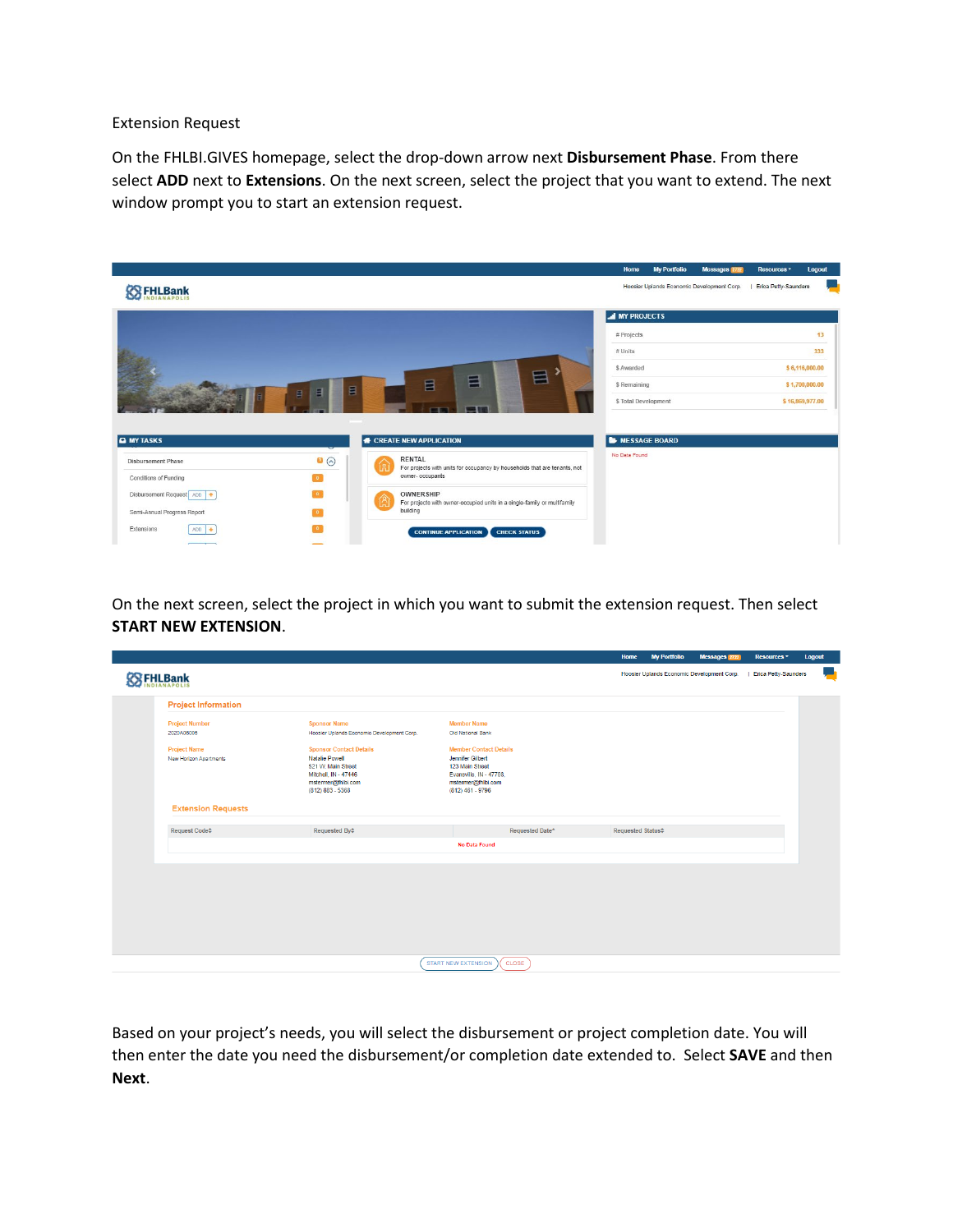Extension Request

On the FHLBI.GIVES homepage, select the drop-down arrow next **Disbursement Phase**. From there select **ADD** next to **Extensions**. On the next screen, select the project that you want to extend. The next window prompt you to start an extension request.



On the next screen, select the project in which you want to submit the extension request. Then select **START NEW EXTENSION**.

|                                                      |                                                                                                                                                   |                                                                                                                                                    | Home                               | <b>My Portfolio</b> | Messages 2722                              | Resources *                 | Logout |   |
|------------------------------------------------------|---------------------------------------------------------------------------------------------------------------------------------------------------|----------------------------------------------------------------------------------------------------------------------------------------------------|------------------------------------|---------------------|--------------------------------------------|-----------------------------|--------|---|
| <b>SS FHLBank</b>                                    |                                                                                                                                                   |                                                                                                                                                    |                                    |                     | Hoosier Uplands Economic Development Corp. | <b>Erica Petty-Saunders</b> |        | w |
| <b>Project Information</b>                           |                                                                                                                                                   |                                                                                                                                                    |                                    |                     |                                            |                             |        |   |
| <b>Project Number</b><br>2020A06006                  | <b>Sponsor Name</b><br>Hoosier Uplands Economic Development Corp.                                                                                 | <b>Member Name</b><br>Old National Bank                                                                                                            |                                    |                     |                                            |                             |        |   |
| <b>Project Name</b><br><b>New Horizon Apartments</b> | <b>Sponsor Contact Details</b><br><b>Natalie Powell</b><br>521 W. Main Street<br>Mitchell, IN - 47446<br>mstermer@fhlbi.com<br>$(812) 883 - 5368$ | <b>Member Contact Details</b><br><b>Jennifer Gilbert</b><br>123 Main Street<br>Evansville, IN - 47708.<br>mstermer@fhlbi.com<br>$(812)$ 461 - 9796 |                                    |                     |                                            |                             |        |   |
| <b>Extension Requests</b>                            |                                                                                                                                                   |                                                                                                                                                    |                                    |                     |                                            |                             |        |   |
| Request Code <sup><math>\Leftrightarrow</math></sup> | Requested By $\Leftrightarrow$                                                                                                                    | Requested Date*                                                                                                                                    | Requested Status $\Leftrightarrow$ |                     |                                            |                             |        |   |
|                                                      |                                                                                                                                                   | <b>No Data Found</b>                                                                                                                               |                                    |                     |                                            |                             |        |   |
|                                                      |                                                                                                                                                   |                                                                                                                                                    |                                    |                     |                                            |                             |        |   |
|                                                      |                                                                                                                                                   |                                                                                                                                                    |                                    |                     |                                            |                             |        |   |
|                                                      |                                                                                                                                                   |                                                                                                                                                    |                                    |                     |                                            |                             |        |   |
|                                                      |                                                                                                                                                   |                                                                                                                                                    |                                    |                     |                                            |                             |        |   |
|                                                      |                                                                                                                                                   |                                                                                                                                                    |                                    |                     |                                            |                             |        |   |
|                                                      |                                                                                                                                                   |                                                                                                                                                    |                                    |                     |                                            |                             |        |   |
|                                                      |                                                                                                                                                   | <b>START NEW EXTENSION</b><br>CLOSE                                                                                                                |                                    |                     |                                            |                             |        |   |

Based on your project's needs, you will select the disbursement or project completion date. You will then enter the date you need the disbursement/or completion date extended to. Select **SAVE** and then **Next**.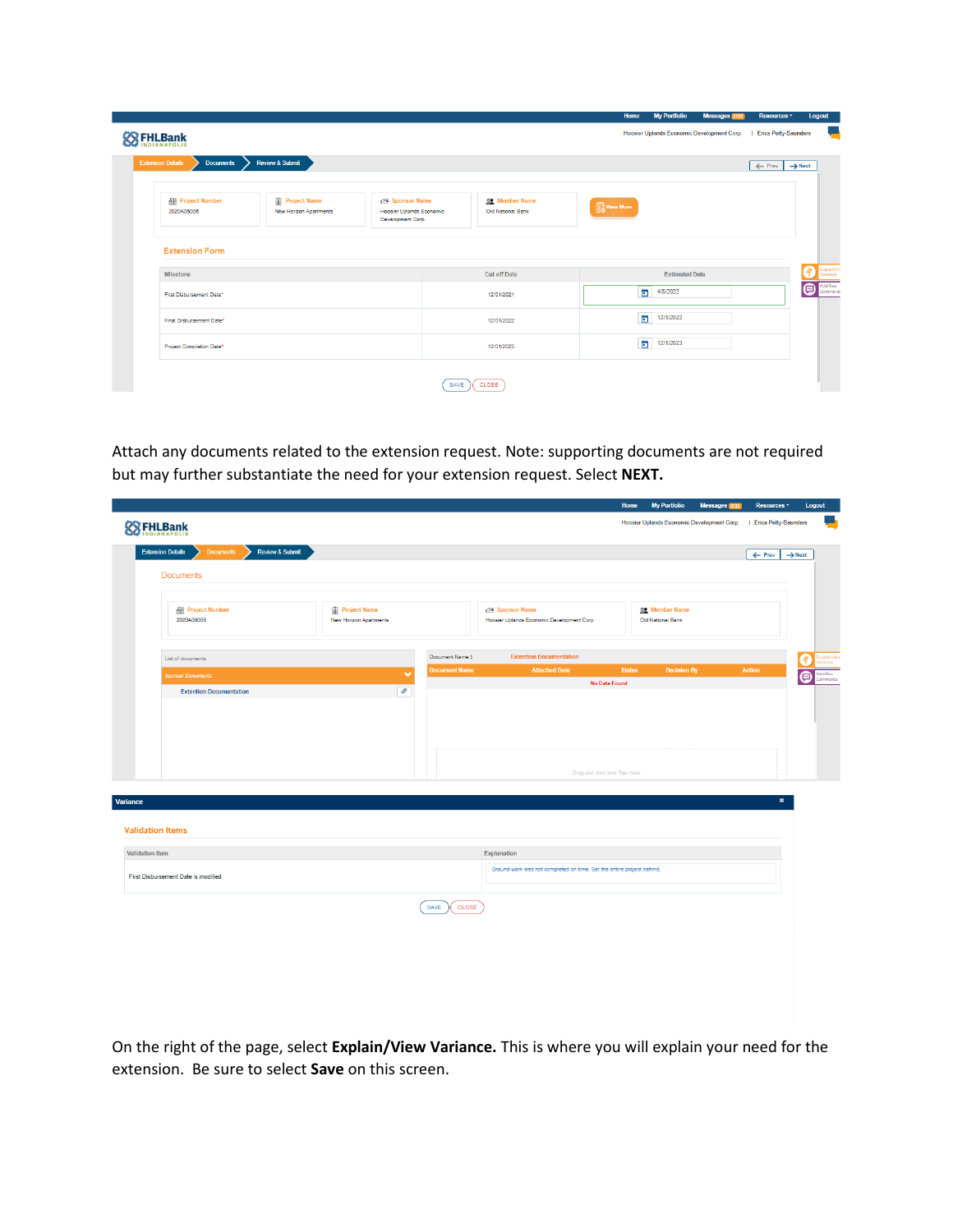|                   |                                              |                                               |                                                                   |      |                                            | Home      | <b>My Portfolio</b>                        | Messages 2722 | Resources -                             | Logout                   |
|-------------------|----------------------------------------------|-----------------------------------------------|-------------------------------------------------------------------|------|--------------------------------------------|-----------|--------------------------------------------|---------------|-----------------------------------------|--------------------------|
| <b>SS FHLBank</b> |                                              |                                               |                                                                   |      |                                            |           | Hoosier Uplands Economic Development Corp. |               | <b>Erica Petty-Saunders</b>             |                          |
|                   | <b>Extension Details</b><br><b>Documents</b> | <b>Review &amp; Submit</b>                    |                                                                   |      |                                            |           |                                            |               | $\leftarrow$ Prev<br>$\rightarrow$ Next |                          |
|                   | <b>All Project Number</b><br>2020A06006      | <b>Project Name</b><br>New Horizon Apartments | 125 Sponsor Name<br>Hoosier Uplands Economic<br>Development Corp. |      | <b>22</b> Member Name<br>Old National Bank | View More |                                            |               |                                         |                          |
|                   | <b>Extension Form</b>                        |                                               |                                                                   |      |                                            |           |                                            |               |                                         |                          |
|                   | Milestone                                    |                                               |                                                                   |      | <b>Cut off Date</b>                        |           | <b>Estimated Date</b>                      |               |                                         | sriance                  |
|                   | First Disbursement Date*                     |                                               |                                                                   |      | 12/01/2021                                 |           | ö<br>4/8/2022                              |               |                                         | Add/See<br>Comments<br>▣ |
|                   | Final Disbursement Date*                     |                                               |                                                                   |      | 12/01/2022                                 |           | 卣<br>12/1/2022                             |               |                                         |                          |
|                   | Project Completion Date*                     |                                               |                                                                   |      | 12/01/2023                                 |           | ö<br>12/1/2023                             |               |                                         |                          |
|                   |                                              |                                               |                                                                   | SAVE | CLOSE                                      |           |                                            |               |                                         |                          |

Attach any documents related to the extension request. Note: supporting documents are not required but may further substantiate the need for your extension request. Select **NEXT.**

| <b>Documents</b><br><b>Review &amp; Submit</b><br>$\leftarrow$ Prev<br><b>Documents</b><br><b>图 Project Number</b><br>Project Name<br>re Sponsor Name<br>Member Name<br>2020A06006<br>Old National Bank<br>New Horizon Apartments<br>Hoosier Uplands Economic Development Corp.<br><b>Extention Documentation</b><br>Document Name:<br>List of documents<br><b>Document Name</b><br><b>Attached Date</b><br><b>Status</b><br><b>Decision By</b><br><b>Action</b><br>$\checkmark$<br><b>Sponsor Documents</b><br>No Data Found<br>Ô<br><b>Extention Documentation</b><br>Drag and drop your files here.<br>×<br>Explanation<br>Ground work was not completed on time. Set the entire project behind.<br>SAVE<br>CLOSE |  |                                                                                                                                                              |  |                                      |              |  |  |
|----------------------------------------------------------------------------------------------------------------------------------------------------------------------------------------------------------------------------------------------------------------------------------------------------------------------------------------------------------------------------------------------------------------------------------------------------------------------------------------------------------------------------------------------------------------------------------------------------------------------------------------------------------------------------------------------------------------------|--|--------------------------------------------------------------------------------------------------------------------------------------------------------------|--|--------------------------------------|--------------|--|--|
|                                                                                                                                                                                                                                                                                                                                                                                                                                                                                                                                                                                                                                                                                                                      |  |                                                                                                                                                              |  | $\rightarrow$ Next<br>4<br>$\bullet$ |              |  |  |
|                                                                                                                                                                                                                                                                                                                                                                                                                                                                                                                                                                                                                                                                                                                      |  | <b>My Portfolio</b><br>Messages 2722<br>Resources <sup>*</sup><br>Home<br><b>Logout</b><br>Hoosier Uplands Economic Development Corp.   Erica Petty-Saunders |  |                                      |              |  |  |
|                                                                                                                                                                                                                                                                                                                                                                                                                                                                                                                                                                                                                                                                                                                      |  |                                                                                                                                                              |  |                                      |              |  |  |
|                                                                                                                                                                                                                                                                                                                                                                                                                                                                                                                                                                                                                                                                                                                      |  |                                                                                                                                                              |  |                                      |              |  |  |
|                                                                                                                                                                                                                                                                                                                                                                                                                                                                                                                                                                                                                                                                                                                      |  |                                                                                                                                                              |  |                                      |              |  |  |
|                                                                                                                                                                                                                                                                                                                                                                                                                                                                                                                                                                                                                                                                                                                      |  |                                                                                                                                                              |  |                                      | u,<br>dd/See |  |  |
| <b>SSEHLBank</b><br><b>Extension Details</b><br>Variance<br><b>Validation Items</b><br>Validation Item<br>First Disbursement Date is modified                                                                                                                                                                                                                                                                                                                                                                                                                                                                                                                                                                        |  |                                                                                                                                                              |  |                                      |              |  |  |
|                                                                                                                                                                                                                                                                                                                                                                                                                                                                                                                                                                                                                                                                                                                      |  |                                                                                                                                                              |  |                                      |              |  |  |
|                                                                                                                                                                                                                                                                                                                                                                                                                                                                                                                                                                                                                                                                                                                      |  |                                                                                                                                                              |  |                                      |              |  |  |
|                                                                                                                                                                                                                                                                                                                                                                                                                                                                                                                                                                                                                                                                                                                      |  |                                                                                                                                                              |  |                                      |              |  |  |
|                                                                                                                                                                                                                                                                                                                                                                                                                                                                                                                                                                                                                                                                                                                      |  |                                                                                                                                                              |  |                                      |              |  |  |
|                                                                                                                                                                                                                                                                                                                                                                                                                                                                                                                                                                                                                                                                                                                      |  |                                                                                                                                                              |  |                                      |              |  |  |
|                                                                                                                                                                                                                                                                                                                                                                                                                                                                                                                                                                                                                                                                                                                      |  |                                                                                                                                                              |  |                                      |              |  |  |
|                                                                                                                                                                                                                                                                                                                                                                                                                                                                                                                                                                                                                                                                                                                      |  |                                                                                                                                                              |  |                                      |              |  |  |
|                                                                                                                                                                                                                                                                                                                                                                                                                                                                                                                                                                                                                                                                                                                      |  |                                                                                                                                                              |  |                                      |              |  |  |
|                                                                                                                                                                                                                                                                                                                                                                                                                                                                                                                                                                                                                                                                                                                      |  |                                                                                                                                                              |  |                                      |              |  |  |

On the right of the page, select **Explain/View Variance.** This is where you will explain your need for the extension. Be sure to select **Save** on this screen.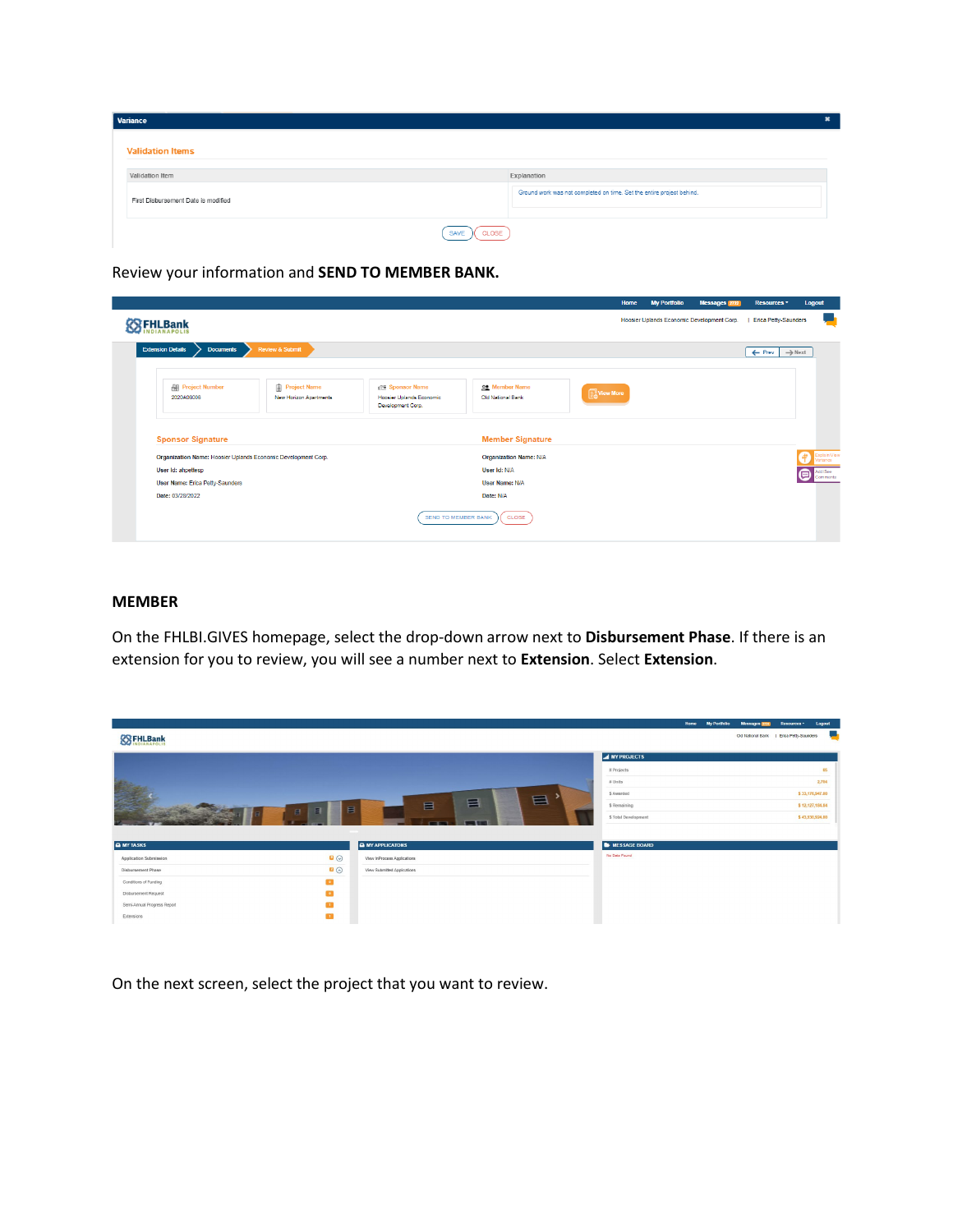| Variance                            |                                                                       |  |
|-------------------------------------|-----------------------------------------------------------------------|--|
| <b>Validation Items</b>             |                                                                       |  |
| Validation Item                     | Explanation                                                           |  |
| First Disbursement Date is modified | Ground work was not completed on time. Set the entire project behind. |  |
| <b>CLOSE</b><br>SAVE                |                                                                       |  |

Review your information and **SEND TO MEMBER BANK.**

|                                                               |                                                     |                                                                          |                                            | Home      | <b>My Portfolio</b> | Messages 2722                                                                                                        | Resources * | Logout  |
|---------------------------------------------------------------|-----------------------------------------------------|--------------------------------------------------------------------------|--------------------------------------------|-----------|---------------------|----------------------------------------------------------------------------------------------------------------------|-------------|---------|
| <b>FHLBank</b>                                                |                                                     |                                                                          |                                            |           |                     | Hoosier Uplands Economic Development Corp.<br><b>Erica Petty-Saunders</b><br>$\rightarrow$ Next<br>$\leftarrow$ Prev |             |         |
| <b>Extension Details</b><br><b>Documents</b>                  | Review & Submit                                     |                                                                          |                                            |           |                     |                                                                                                                      |             |         |
| <b>部 Project Number</b><br>2020A06006                         | <sup>2</sup> Project Name<br>New Horizon Apartments | <b>REA</b> Sponsor Name<br>Hoosier Uplands Economic<br>Development Corp. | <b>22</b> Member Name<br>Old National Bank | View More |                     |                                                                                                                      |             |         |
| <b>Sponsor Signature</b>                                      |                                                     |                                                                          | <b>Member Signature</b>                    |           |                     |                                                                                                                      |             |         |
| Organization Name: Hoosier Uplands Economic Development Corp. |                                                     |                                                                          | <b>Organization Name: N/A</b>              |           |                     |                                                                                                                      |             |         |
| User Id: ahpettesp                                            |                                                     |                                                                          | User Id: N/A                               |           |                     |                                                                                                                      |             | omments |
| User Name: Erica Petty-Saunders                               |                                                     |                                                                          | User Name: N/A                             |           |                     |                                                                                                                      |             |         |
| Date: 03/28/2022                                              |                                                     |                                                                          | Date: N/A                                  |           |                     |                                                                                                                      |             |         |
|                                                               |                                                     | SEND TO MEMBER BANK                                                      | CLOSE                                      |           |                     |                                                                                                                      |             |         |

## **MEMBER**

On the FHLBI.GIVES homepage, select the drop-down arrow next to **Disbursement Phase**. If there is an extension for you to review, you will see a number next to **Extension**. Select **Extension**.

|                             |                     |                               |                        | <b>Home</b><br><b>My Portfolio</b> | Messages 2724                            | Resources <sup>-</sup> | Logout          |
|-----------------------------|---------------------|-------------------------------|------------------------|------------------------------------|------------------------------------------|------------------------|-----------------|
| <b>ES FHLBank</b>           |                     |                               |                        |                                    | Old National Bank   Erica Petty-Saunders |                        | <b>Contract</b> |
|                             |                     |                               |                        |                                    |                                          |                        |                 |
|                             |                     |                               | <b>A MY PROJECTS</b>   |                                    |                                          |                        |                 |
|                             |                     |                               | # Projects             |                                    |                                          |                        | 65              |
|                             |                     |                               | # Units                |                                    |                                          |                        | 2,704           |
|                             |                     | $\blacksquare$                | \$ Awarded             |                                    |                                          |                        | \$33,176,947.00 |
|                             | $\blacksquare$<br>E | 目<br>目                        | \$ Remaining           |                                    |                                          |                        | \$12,127,184.84 |
|                             | $\Box$              | . .<br><b>The Corporation</b> | \$ Total Development   |                                    |                                          |                        | \$43,930,924.00 |
|                             |                     |                               |                        |                                    |                                          |                        |                 |
| <b>A</b> MY TASKS           |                     | <b>A</b> MY APPLICATONS       | <b>E</b> MESSAGE BOARD |                                    |                                          |                        |                 |
| Application Submission      | $\bullet$           | View InProcess Applications   | No Data Found          |                                    |                                          |                        |                 |
| Disbursement Phase          | $\bullet$           | View Submitted Applications   |                        |                                    |                                          |                        |                 |
| Conditions of Funding       | $\bullet$           |                               |                        |                                    |                                          |                        |                 |
| Disbursement Request        | $\bullet$           |                               |                        |                                    |                                          |                        |                 |
| Semi-Annual Progress Report | $\mathbf{H}$        |                               |                        |                                    |                                          |                        |                 |
| Extensions                  | $\mathbf{u}$        |                               |                        |                                    |                                          |                        |                 |
|                             |                     |                               |                        |                                    |                                          |                        |                 |

On the next screen, select the project that you want to review.